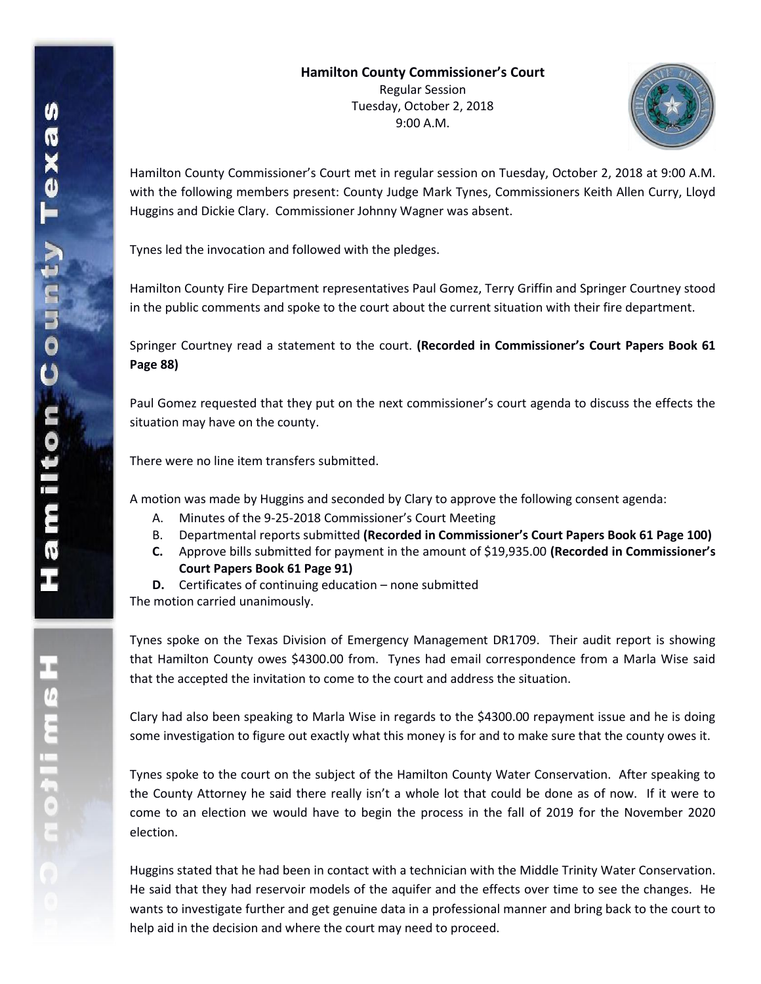

Hamilton County Commissioner's Court met in regular session on Tuesday, October 2, 2018 at 9:00 A.M. with the following members present: County Judge Mark Tynes, Commissioners Keith Allen Curry, Lloyd Huggins and Dickie Clary. Commissioner Johnny Wagner was absent.

Tynes led the invocation and followed with the pledges.

Hamilton County Fire Department representatives Paul Gomez, Terry Griffin and Springer Courtney stood in the public comments and spoke to the court about the current situation with their fire department.

Springer Courtney read a statement to the court. **(Recorded in Commissioner's Court Papers Book 61 Page 88)**

Paul Gomez requested that they put on the next commissioner's court agenda to discuss the effects the situation may have on the county.

There were no line item transfers submitted.

A motion was made by Huggins and seconded by Clary to approve the following consent agenda:

- A. Minutes of the 9-25-2018 Commissioner's Court Meeting
- B. Departmental reports submitted **(Recorded in Commissioner's Court Papers Book 61 Page 100)**
- **C.** Approve bills submitted for payment in the amount of \$19,935.00 **(Recorded in Commissioner's Court Papers Book 61 Page 91)**
- **D.** Certificates of continuing education none submitted

The motion carried unanimously.

Tynes spoke on the Texas Division of Emergency Management DR1709. Their audit report is showing that Hamilton County owes \$4300.00 from. Tynes had email correspondence from a Marla Wise said that the accepted the invitation to come to the court and address the situation.

Clary had also been speaking to Marla Wise in regards to the \$4300.00 repayment issue and he is doing some investigation to figure out exactly what this money is for and to make sure that the county owes it.

Tynes spoke to the court on the subject of the Hamilton County Water Conservation. After speaking to the County Attorney he said there really isn't a whole lot that could be done as of now. If it were to come to an election we would have to begin the process in the fall of 2019 for the November 2020 election.

Huggins stated that he had been in contact with a technician with the Middle Trinity Water Conservation. He said that they had reservoir models of the aquifer and the effects over time to see the changes. He wants to investigate further and get genuine data in a professional manner and bring back to the court to help aid in the decision and where the court may need to proceed.